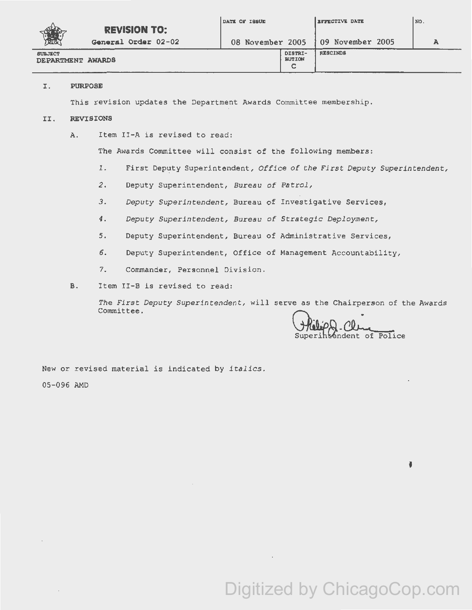|                                     |                     | DATE OF ISSUE    |                               | <b>EFFECTIVE DATE</b> | NO. |
|-------------------------------------|---------------------|------------------|-------------------------------|-----------------------|-----|
|                                     | <b>REVISION TO:</b> |                  |                               |                       |     |
| <b>TEA</b>                          | General Order 02-02 | 08 November 2005 |                               | $109$ November 2005   |     |
| <b>SUBJECT</b><br>DEPARTMENT AWARDS |                     |                  | DISTRI-<br><b>BUTION</b><br>c | <b>RESCINDS</b>       |     |

## I. PURPOSE

This revision updates the Department Awards Committee membership.

## II. REVISIONS

A. Item II-A is revised to read:

The Awards Committee will consist of the following members:

- 1. First Deputy Superintendent, *Office of the First Deputy Superintendent*,
- *2.* Deputy Superintendent, Bureau *of Patrol,*
- *3.* Deputy *Superintendent,* Bureau of Investigative Services,
- *4 . Deputy Superintendent;, Bureau of Strategic Deployment,*
- *5.* Deputy Superintendent, Bureau of Administrative Services,
- 6. Deputy Superintendent, Office of Management Accountability,
- 7. Commander, Personnel Division.
- B. Item II-B is revised to read:

The First Deputy Superintendent, will serve as the Chairperson of the Awards<br>Committee.

WebpQ-Clue

ł

New or revised material is indicated by *italics.*  05-096 AMO

Digitized by ChicagoCop.com